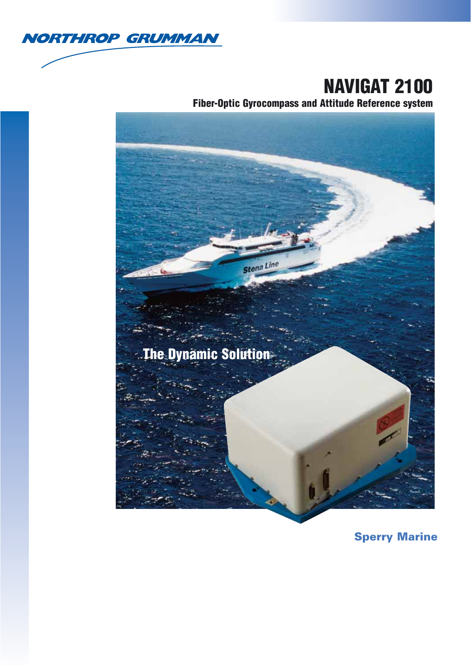

# **NAVIGAT 2100**

**Fiber-Optic Gyrocompass and Attitude Reference system**



**Sperry Marine**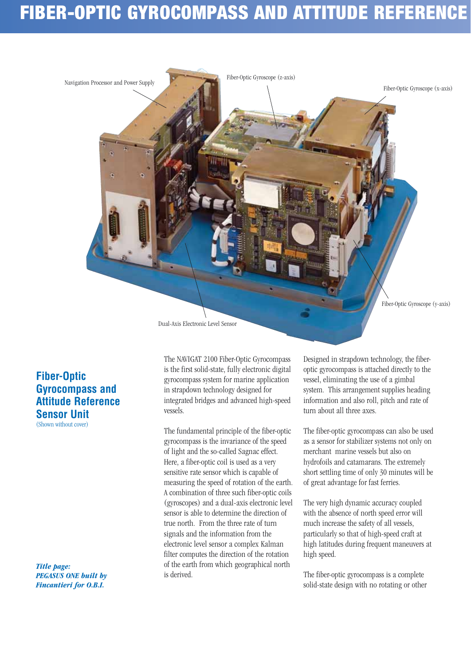# **FIBER-OPTIC GYROCOMPASS AND ATTITUDE REFERENCE**



Dual-Axis Electronic Level Sensor

### **Fiber-Optic Gyrocompass and Attitude Reference Sensor Unit**  (Shown without cover)

*Title page: PEGASUS ONE built by Fincantieri for O.B.I.*

The NAVIGAT 2100 Fiber-Optic Gyrocompass is the first solid-state, fully electronic digital gyrocompass system for marine application in strapdown technology designed for integrated bridges and advanced high-speed vessels.

The fundamental principle of the fiber-optic gyrocompass is the invariance of the speed of light and the so-called Sagnac effect. Here, a fiber-optic coil is used as a very sensitive rate sensor which is capable of measuring the speed of rotation of the earth. A combination of three such fiber-optic coils (gyroscopes) and a dual-axis electronic level sensor is able to determine the direction of true north. From the three rate of turn signals and the information from the electronic level sensor a complex Kalman filter computes the direction of the rotation of the earth from which geographical north is derived.

Designed in strapdown technology, the fiberoptic gyrocompass is attached directly to the vessel, eliminating the use of a gimbal system. This arrangement supplies heading information and also roll, pitch and rate of turn about all three axes.

The fiber-optic gyrocompass can also be used as a sensor for stabilizer systems not only on merchant marine vessels but also on hydrofoils and catamarans. The extremely short settling time of only 30 minutes will be of great advantage for fast ferries.

The very high dynamic accuracy coupled with the absence of north speed error will much increase the safety of all vessels, particularly so that of high-speed craft at high latitudes during frequent maneuvers at high speed.

The fiber-optic gyrocompass is a complete solid-state design with no rotating or other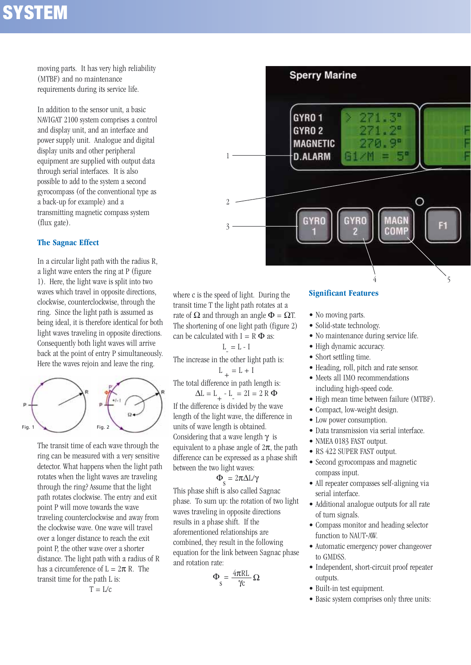# **SYSTEM**

moving parts. It has very high reliability (MTBF) and no maintenance requirements during its service life.

In addition to the sensor unit, a basic NAVIGAT 2100 system comprises a control and display unit, and an interface and power supply unit. Analogue and digital display units and other peripheral equipment are supplied with output data through serial interfaces. It is also possible to add to the system a second gyrocompass (of the conventional type as a back-up for example) and a transmitting magnetic compass system (flux gate).

### **The Sagnac Effect**

In a circular light path with the radius R, a light wave enters the ring at P (figure 1). Here, the light wave is split into two waves which travel in opposite directions, clockwise, counterclockwise, through the ring. Since the light path is assumed as being ideal, it is therefore identical for both light waves traveling in opposite directions. Consequently both light waves will arrive back at the point of entry P simultaneously. Here the waves rejoin and leave the ring.



The transit time of each wave through the ring can be measured with a very sensitive detector. What happens when the light path rotates when the light waves are traveling through the ring? Assume that the light path rotates clockwise. The entry and exit point P will move towards the wave traveling counterclockwise and away from the clockwise wave. One wave will travel over a longer distance to reach the exit point P, the other wave over a shorter distance. The light path with a radius of R has a circumference of  $L = 2\pi R$ . The transit time for the path L is:

$$
T = L/c
$$

**Sperry Marine** GYRO 1 GYRO<sub>2</sub> **MAGNETIC D.ALARM** 1 ∩ 2 MAGN 3 COMP 4 5

where c is the speed of light. During the transit time T the light path rotates at a rate of  $\Omega$  and through an angle  $\Phi = \Omega T$ . The shortening of one light path (figure 2) can be calculated with  $I = R \Phi$  as:

 $L = L - I$ 

The increase in the other light path is:  $L_{+} = L + I$ 

The total difference in path length is:

 $\Delta L = L_{+} - L_{-} = 2I = 2 R \Phi$ If the difference is divided by the wave length of the light wave, the difference in units of wave length is obtained. Considering that a wave length  $\gamma$  is equivalent to a phase angle of  $2\pi$ , the path difference can be expressed as a phase shift between the two light waves:

## $\Phi_{\rm s} = 2\pi\Delta L/\gamma$

This phase shift is also called Sagnac phase. To sum up: the rotation of two light waves traveling in opposite directions results in a phase shift. If the aforementioned relationships are combined, they result in the following equation for the link between Sagnac phase and rotation rate:

$$
\Phi_{\rm s} = \frac{4\pi R L}{\gamma_{\rm C}} \,\Omega
$$

### **Significant Features**

- No moving parts.
- Solid-state technology.
- No maintenance during service life.
- High dynamic accuracy.
- Short settling time.
- Heading, roll, pitch and rate sensor.
- Meets all IMO recommendations including high-speed code.
- High mean time between failure (MTBF).
- Compact, low-weight design.
- Low power consumption.
- Data transmission via serial interface.
- NMEA 0183 FAST output.
- RS 422 SUPER FAST output.
- Second gyrocompass and magnetic compass input.
- All repeater compasses self-aligning via serial interface.
- Additional analogue outputs for all rate of turn signals.
- Compass monitor and heading selector function to NAUT-AW.
- Automatic emergency power changeover to GMDSS.
- Independent, short-circuit proof repeater outputs.
- Built-in test equipment.
- Basic system comprises only three units: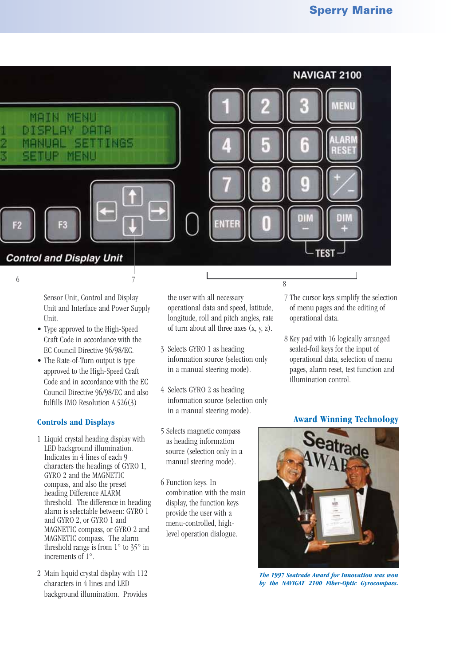

Sensor Unit, Control and Display Unit and Interface and Power Supply Unit.

- Type approved to the High-Speed Craft Code in accordance with the EC Council Directive 96/98/EC.
- The Rate-of-Turn output is type approved to the High-Speed Craft Code and in accordance with the EC Council Directive 96/98/EC and also fulfills IMO Resolution A.526(3)

### **Controls and Displays**

- 1 Liquid crystal heading display with LED background illumination. Indicates in 4 lines of each 9 characters the headings of GYRO 1, GYRO 2 and the MAGNETIC compass, and also the preset heading Difference ALARM threshold. The difference in heading alarm is selectable between: GYRO 1 and GYRO 2, or GYRO 1 and MAGNETIC compass, or GYRO 2 and MAGNETIC compass. The alarm threshold range is from  $1^{\circ}$  to  $35^{\circ}$  in increments of 1°.
- 2 Main liquid crystal display with 112 characters in 4 lines and LED background illumination. Provides

the user with all necessary operational data and speed, latitude, longitude, roll and pitch angles, rate of turn about all three axes  $(x, y, z)$ .

- 3 Selects GYRO 1 as heading information source (selection only in a manual steering mode).
- 4 Selects GYRO 2 as heading information source (selection only in a manual steering mode).
- 5 Selects magnetic compass as heading information source (selection only in a manual steering mode).
- 6 Function keys. In combination with the main display, the function keys provide the user with a menu-controlled, highlevel operation dialogue.
- 7 The cursor keys simplify the selection of menu pages and the editing of operational data.
- 8 Key pad with 16 logically arranged sealed-foil keys for the input of operational data, selection of menu pages, alarm reset, test function and illumination control.

### **Award Winning Technology**



*The 1997 Seatrade Award for Innovation was won by the NAVIGAT 2100 Fiber-Optic Gyrocompass.*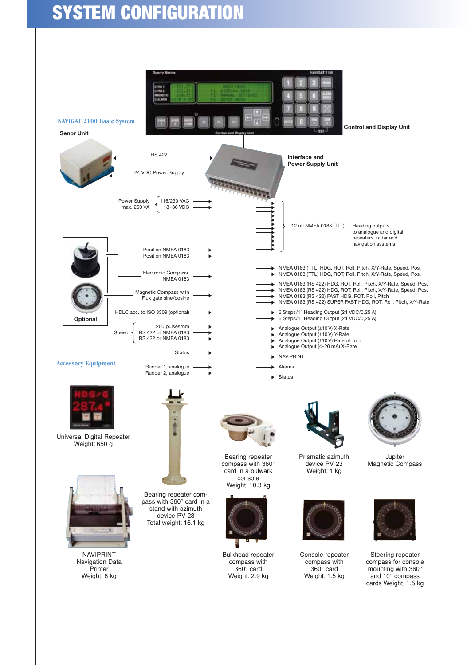# **SYSTEM CONFIGURATION**